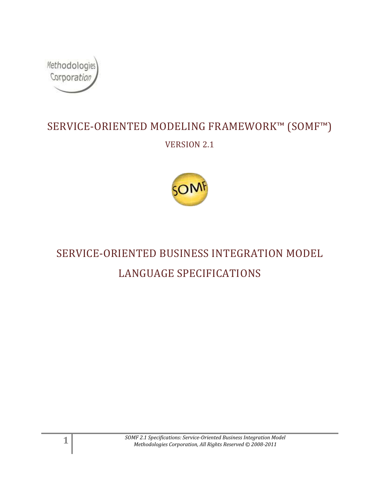

## SERVICE-ORIENTED MODELING FRAMEWORK™ (SOMF™) VERSION 2.1



# SERVICE-ORIENTED BUSINESS INTEGRATION MODEL LANGUAGE SPECIFICATIONS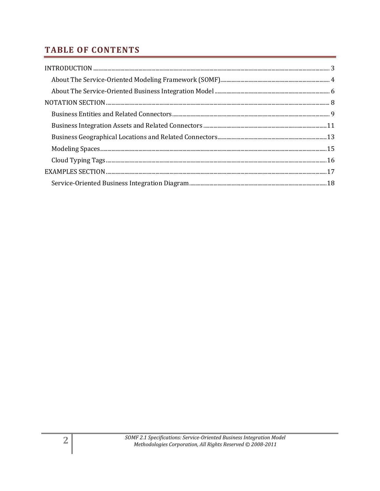## **TABLE OF CONTENTS**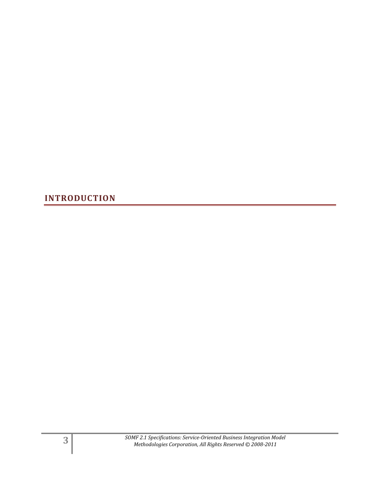<span id="page-2-0"></span>**INTRODUCTION**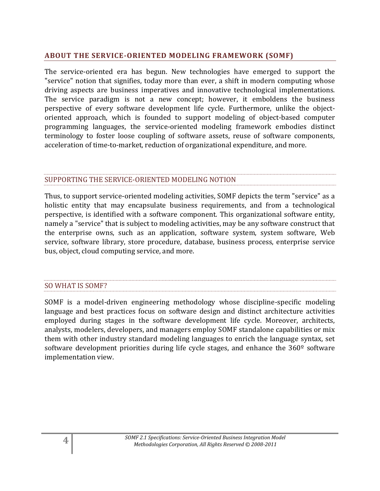#### <span id="page-3-0"></span>**ABOUT THE SERVICE-ORIENTED MODELING FRAMEWORK (SOMF)**

The service-oriented era has begun. New technologies have emerged to support the "service" notion that signifies, today more than ever, a shift in modern computing whose driving aspects are business imperatives and innovative technological implementations. The service paradigm is not a new concept; however, it emboldens the business perspective of every software development life cycle. Furthermore, unlike the objectoriented approach, which is founded to support modeling of object-based computer programming languages, the service-oriented modeling framework embodies distinct terminology to foster loose coupling of software assets, reuse of software components, acceleration of time-to-market, reduction of organizational expenditure, and more.

#### SUPPORTING THE SERVICE-ORIENTED MODELING NOTION

Thus, to support service-oriented modeling activities, SOMF depicts the term "service" as a holistic entity that may encapsulate business requirements, and from a technological perspective, is identified with a software component. This organizational software entity, namely a "service" that is subject to modeling activities, may be any software construct that the enterprise owns, such as an application, software system, system software, Web service, software library, store procedure, database, business process, enterprise service bus, object, cloud computing service, and more.

#### SO WHAT IS SOMF?

SOMF is a model-driven engineering methodology whose discipline-specific modeling language and best practices focus on software design and distinct architecture activities employed during stages in the software development life cycle. Moreover, architects, analysts, modelers, developers, and managers employ SOMF standalone capabilities or mix them with other industry standard modeling languages to enrich the language syntax, set software development priorities during life cycle stages, and enhance the 360<sup>°</sup> software implementation view.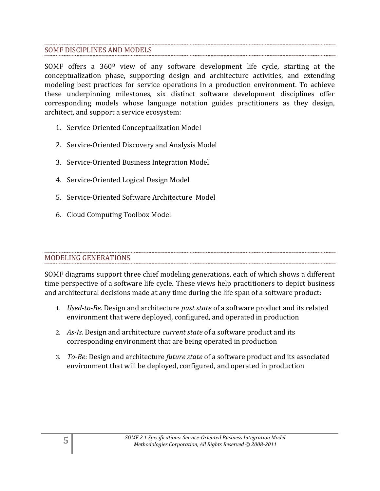#### SOMF DISCIPLINES AND MODELS

SOMF offers a 360º view of any software development life cycle, starting at the conceptualization phase, supporting design and architecture activities, and extending modeling best practices for service operations in a production environment. To achieve these underpinning milestones, six distinct software development disciplines offer corresponding models whose language notation guides practitioners as they design, architect, and support a service ecosystem:

- 1. Service-Oriented Conceptualization Model
- 2. Service-Oriented Discovery and Analysis Model
- 3. Service-Oriented Business Integration Model
- 4. Service-Oriented Logical Design Model
- 5. Service-Oriented Software Architecture Model
- 6. Cloud Computing Toolbox Model

#### MODELING GENERATIONS

SOMF diagrams support three chief modeling generations, each of which shows a different time perspective of a software life cycle. These views help practitioners to depict business and architectural decisions made at any time during the life span of a software product:

- 1. *Used-to-Be*. Design and architecture *past state* of a software product and its related environment that were deployed, configured, and operated in production
- 2. *As-Is*. Design and architecture *current state* of a software product and its corresponding environment that are being operated in production
- 3. *To-Be*: Design and architecture *future state* of a software product and its associated environment that will be deployed, configured, and operated in production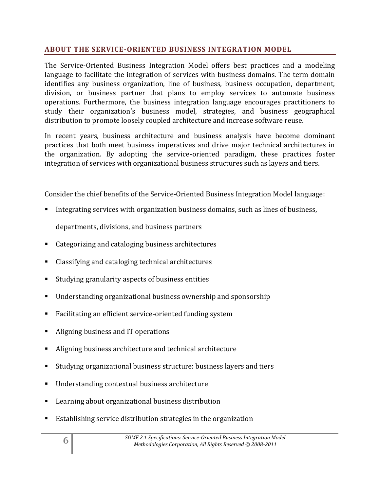#### <span id="page-5-0"></span>**ABOUT THE SERVICE-ORIENTED BUSINESS INTEGRATION MODEL**

The Service-Oriented Business Integration Model offers best practices and a modeling language to facilitate the integration of services with business domains. The term domain identifies any business organization, line of business, business occupation, department, division, or business partner that plans to employ services to automate business operations. Furthermore, the business integration language encourages practitioners to study their organization's business model, strategies, and business geographical distribution to promote loosely coupled architecture and increase software reuse.

In recent years, business architecture and business analysis have become dominant practices that both meet business imperatives and drive major technical architectures in the organization. By adopting the service-oriented paradigm, these practices foster integration of services with organizational business structures such as layers and tiers.

Consider the chief benefits of the Service-Oriented Business Integration Model language:

Integrating services with organization business domains, such as lines of business,

departments, divisions, and business partners

- Categorizing and cataloging business architectures
- Classifying and cataloging technical architectures
- Studying granularity aspects of business entities
- Understanding organizational business ownership and sponsorship
- Facilitating an efficient service-oriented funding system
- Aligning business and IT operations
- Aligning business architecture and technical architecture
- Studying organizational business structure: business layers and tiers
- Understanding contextual business architecture
- Learning about organizational business distribution
- Establishing service distribution strategies in the organization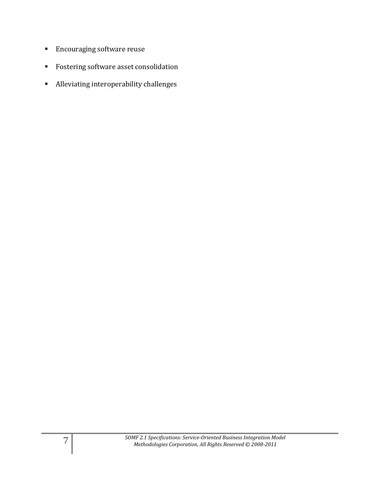- **Encouraging software reuse**
- **Fostering software asset consolidation**
- Alleviating interoperability challenges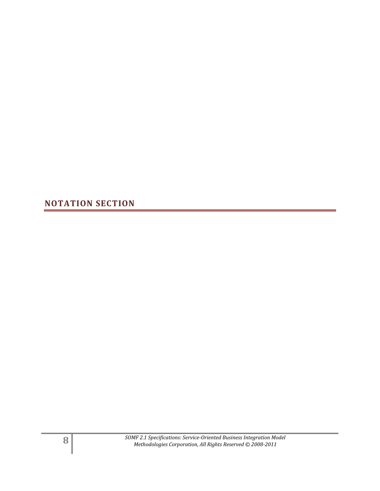<span id="page-7-0"></span>**NOTATION SECTION**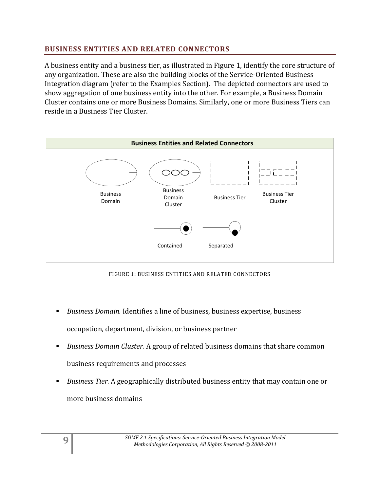### <span id="page-8-0"></span>**BUSINESS ENTITIES AND RELATED CONNECTORS**

A business entity and a business tier, as illustrated in Figure 1, identify the core structure of any organization. These are also the building blocks of the Service-Oriented Business Integration diagram (refer to the Examples Section). The depicted connectors are used to show aggregation of one business entity into the other. For example, a Business Domain Cluster contains one or more Business Domains. Similarly, one or more Business Tiers can reside in a Business Tier Cluster.



FIGURE 1: BUSINESS ENTITIES AND RELATED CONNECTORS

- *Business Domain.* Identifies a line of business, business expertise, business occupation, department, division, or business partner
- *Business Domain Cluster.* A group of related business domains that share common business requirements and processes
- *Business Tier.* A geographically distributed business entity that may contain one or more business domains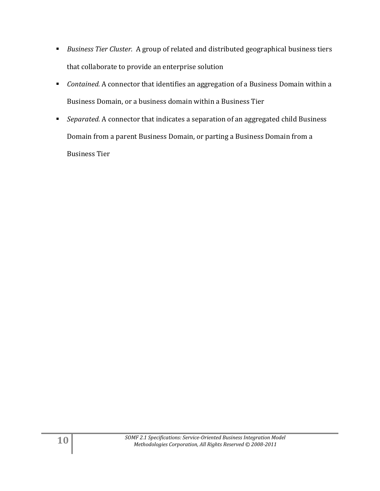- *Business Tier Cluster.* A group of related and distributed geographical business tiers that collaborate to provide an enterprise solution
- *Contained.* A connector that identifies an aggregation of a Business Domain within a Business Domain, or a business domain within a Business Tier
- *Separated.* A connector that indicates a separation of an aggregated child Business Domain from a parent Business Domain, or parting a Business Domain from a Business Tier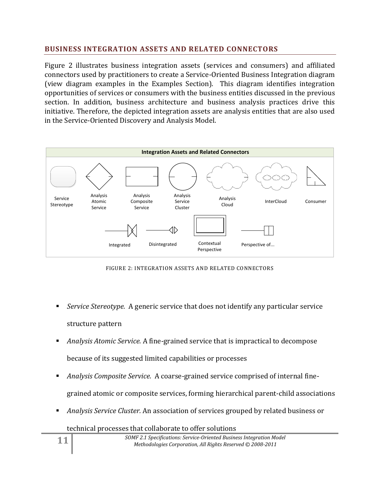#### <span id="page-10-0"></span>**BUSINESS INTEGRATION ASSETS AND RELATED CONNECTORS**

Figure 2 illustrates business integration assets (services and consumers) and affiliated connectors used by practitioners to create a Service-Oriented Business Integration diagram (view diagram examples in the Examples Section). This diagram identifies integration opportunities of services or consumers with the business entities discussed in the previous section. In addition, business architecture and business analysis practices drive this initiative. Therefore, the depicted integration assets are analysis entities that are also used in the Service-Oriented Discovery and Analysis Model.



FIGURE 2: INTEGRATION ASSETS AND RELATED CONNECTORS

- *Service Stereotype.* A generic service that does not identify any particular service structure pattern
- *Analysis Atomic Service.* A fine-grained service that is impractical to decompose because of its suggested limited capabilities or processes
- *Analysis Composite Service.* A coarse-grained service comprised of internal finegrained atomic or composite services, forming hierarchical parent-child associations
- *Analysis Service Cluster.* An association of services grouped by related business or
	- technical processes that collaborate to offer solutions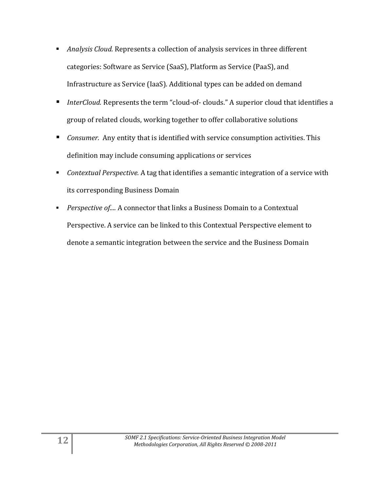- *Analysis Cloud.* Represents a collection of analysis services in three different categories: Software as Service (SaaS), Platform as Service (PaaS), and Infrastructure as Service (IaaS). Additional types can be added on demand
- *InterCloud.* Represents the term "cloud-of- clouds." A superior cloud that identifies a group of related clouds, working together to offer collaborative solutions
- *Consumer.* Any entity that is identified with service consumption activities. This definition may include consuming applications or services
- *Contextual Perspective.* A tag that identifies a semantic integration of a service with its corresponding Business Domain
- *Perspective of....* A connector that links a Business Domain to a Contextual Perspective. A service can be linked to this Contextual Perspective element to denote a semantic integration between the service and the Business Domain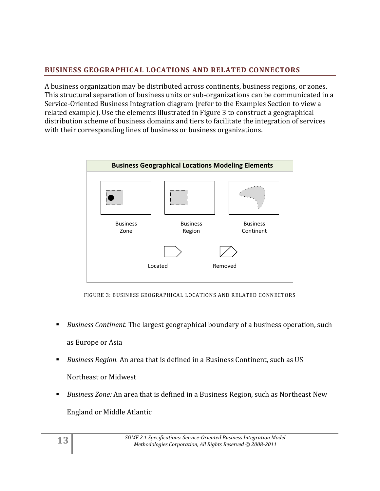## <span id="page-12-0"></span>**BUSINESS GEOGRAPHICAL LOCATIONS AND RELATED CONNECTORS**

A business organization may be distributed across continents, business regions, or zones. This structural separation of business units or sub-organizations can be communicated in a Service-Oriented Business Integration diagram (refer to the Examples Section to view a related example). Use the elements illustrated in Figure 3 to construct a geographical distribution scheme of business domains and tiers to facilitate the integration of services with their corresponding lines of business or business organizations.



FIGURE 3: BUSINESS GEOGRAPHICAL LOCATIONS AND RELATED CONNECTORS

- *Business Continent.* The largest geographical boundary of a business operation, such as Europe or Asia
- *Business Region.* An area that is defined in a Business Continent, such as US Northeast or Midwest
- *Business Zone:* An area that is defined in a Business Region, such as Northeast New England or Middle Atlantic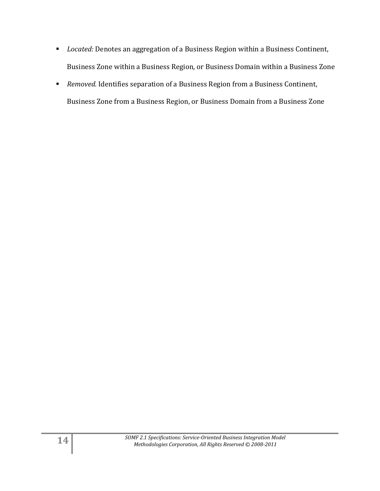- *Located:* Denotes an aggregation of a Business Region within a Business Continent, Business Zone within a Business Region, or Business Domain within a Business Zone
- *Removed.* Identifies separation of a Business Region from a Business Continent, Business Zone from a Business Region, or Business Domain from a Business Zone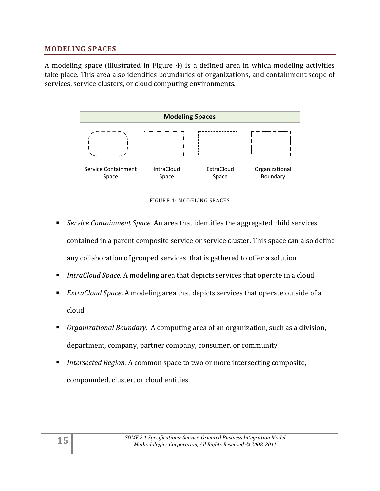#### <span id="page-14-0"></span>**MODELING SPACES**

A modeling space (illustrated in Figure 4) is a defined area in which modeling activities take place. This area also identifies boundaries of organizations, and containment scope of services, service clusters, or cloud computing environments.



FIGURE 4: MODELING SPACES

- *Service Containment Space.* An area that identifies the aggregated child services contained in a parent composite service or service cluster. This space can also define any collaboration of grouped services that is gathered to offer a solution
- *IntraCloud Space.* A modeling area that depicts services that operate in a cloud
- *ExtraCloud Space.* A modeling area that depicts services that operate outside of a cloud
- *Organizational Boundary.* A computing area of an organization, such as a division, department, company, partner company, consumer, or community
- *Intersected Region.* A common space to two or more intersecting composite, compounded, cluster, or cloud entities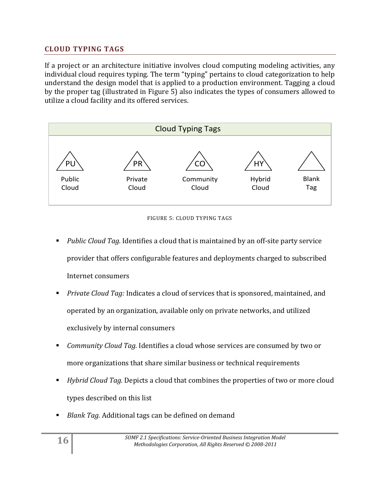### <span id="page-15-0"></span>**CLOUD TYPING TAGS**

If a project or an architecture initiative involves cloud computing modeling activities, any individual cloud requires typing. The term "typing" pertains to cloud categorization to help understand the design model that is applied to a production environment. Tagging a cloud by the proper tag (illustrated in Figure 5) also indicates the types of consumers allowed to utilize a cloud facility and its offered services.



#### FIGURE 5: CLOUD TYPING TAGS

- *Public Cloud Tag.* Identifies a cloud that is maintained by an off-site party service provider that offers configurable features and deployments charged to subscribed Internet consumers
- *Private Cloud Tag:* Indicates a cloud of services that is sponsored, maintained, and operated by an organization, available only on private networks, and utilized exclusively by internal consumers
- *Community Cloud Tag.* Identifies a cloud whose services are consumed by two or more organizations that share similar business or technical requirements
- *Hybrid Cloud Tag.* Depicts a cloud that combines the properties of two or more cloud types described on this list
- *Blank Tag.* Additional tags can be defined on demand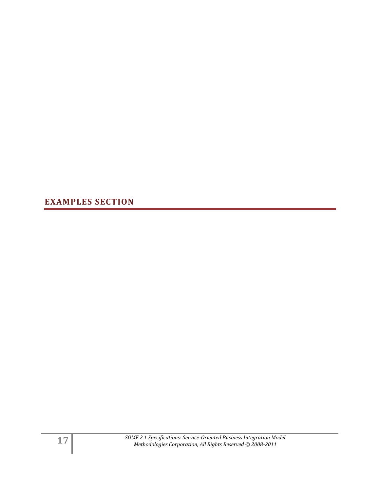<span id="page-16-0"></span>**EXAMPLES SECTION**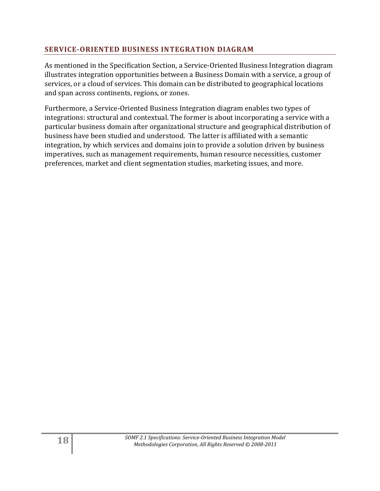#### <span id="page-17-0"></span>**SERVICE-ORIENTED BUSINESS INTEGRATION DIAGRAM**

As mentioned in the Specification Section, a Service-Oriented Business Integration diagram illustrates integration opportunities between a Business Domain with a service, a group of services, or a cloud of services. This domain can be distributed to geographical locations and span across continents, regions, or zones.

Furthermore, a Service-Oriented Business Integration diagram enables two types of integrations: structural and contextual. The former is about incorporating a service with a particular business domain after organizational structure and geographical distribution of business have been studied and understood. The latter is affiliated with a semantic integration, by which services and domains join to provide a solution driven by business imperatives, such as management requirements, human resource necessities, customer preferences, market and client segmentation studies, marketing issues, and more.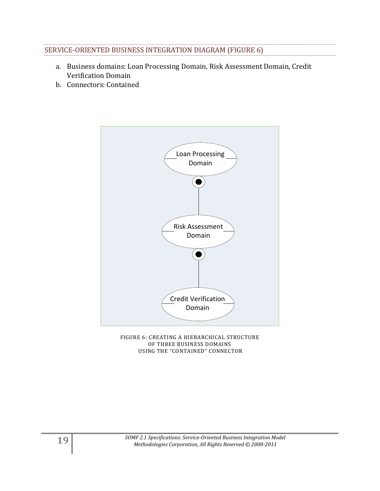| SERVICE-ORIENTED BUSINESS INTEGRATION DIAGRAM (FIGURE 6) |  |
|----------------------------------------------------------|--|

- a. Business domains: Loan Processing Domain, Risk Assessment Domain, Credit Verification Domain
- b. Connectors: Contained



FIGURE 6: CREATING A HIERARCHICAL STRUCTURE OF THREE BUSINESS DOMAINS USING THE "CONTAINED" CONNECTOR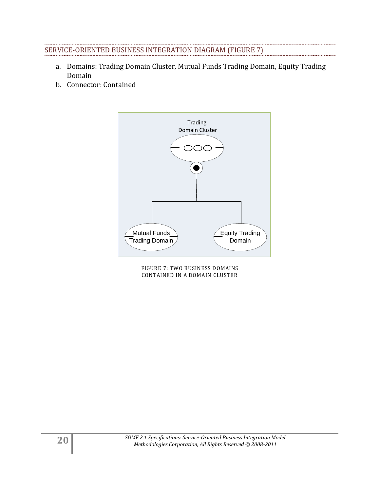### SERVICE-ORIENTED BUSINESS INTEGRATION DIAGRAM (FIGURE 7)

- a. Domains: Trading Domain Cluster, Mutual Funds Trading Domain, Equity Trading Domain
- b. Connector: Contained



FIGURE 7: TWO BUSINESS DOMAINS CONTAINED IN A DOMAIN CLUSTER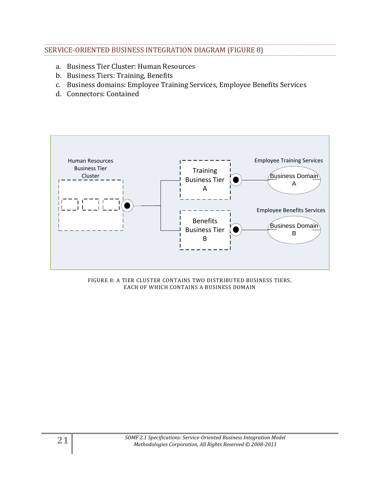#### SERVICE-ORIENTED BUSINESS INTEGRATION DIAGRAM (FIGURE 8)

- a. Business Tier Cluster: Human Resources
- b. Business Tiers: Training, Benefits
- c. Business domains: Employee Training Services, Employee Benefits Services
- d. Connectors: Contained



#### FIGURE 8: A TIER CLUSTER CONTAINS TWO DISTRIBUTED BUSINESS TIERS, EACH OF WHICH CONTAINS A BUSINESS DOMAIN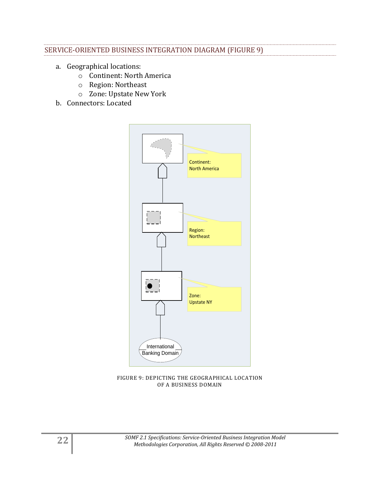#### SERVICE-ORIENTED BUSINESS INTEGRATION DIAGRAM (FIGURE 9)

- a. Geographical locations:
	- o Continent: North America
	- o Region: Northeast
	- o Zone: Upstate New York
- b. Connectors: Located



FIGURE 9: DEPICTING THE GEOGRAPHICAL LOCATION OF A BUSINESS DOMAIN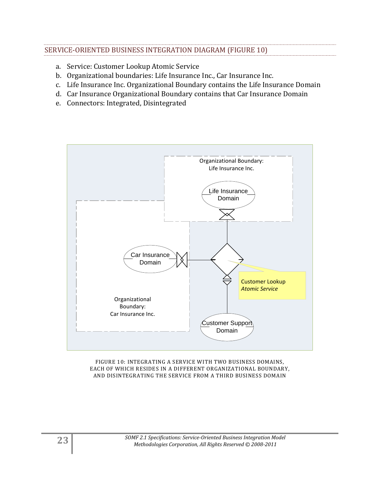#### SERVICE-ORIENTED BUSINESS INTEGRATION DIAGRAM (FIGURE 10)

- a. Service: Customer Lookup Atomic Service
- b. Organizational boundaries: Life Insurance Inc., Car Insurance Inc.
- c. Life Insurance Inc. Organizational Boundary contains the Life Insurance Domain
- d. Car Insurance Organizational Boundary contains that Car Insurance Domain
- e. Connectors: Integrated, Disintegrated



FIGURE 10: INTEGRATING A SERVICE WITH TWO BUSINESS DOMAINS, EACH OF WHICH RESIDES IN A DIFFERENT ORGANIZATIONAL BOUNDARY, AND DISINTEGRATING THE SERVICE FROM A THIRD BUSINESS DOMAIN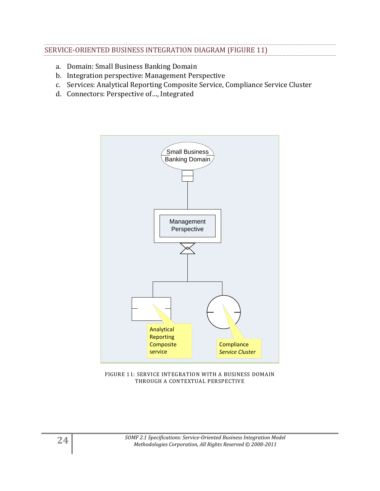#### SERVICE-ORIENTED BUSINESS INTEGRATION DIAGRAM (FIGURE 11)

- a. Domain: Small Business Banking Domain
- b. Integration perspective: Management Perspective
- c. Services: Analytical Reporting Composite Service, Compliance Service Cluster
- d. Connectors: Perspective of…, Integrated



FIGURE 11: SERVICE INTEGRATION WITH A BUSINESS DOMAIN THROUGH A CONTEXTUAL PERSPECTIVE